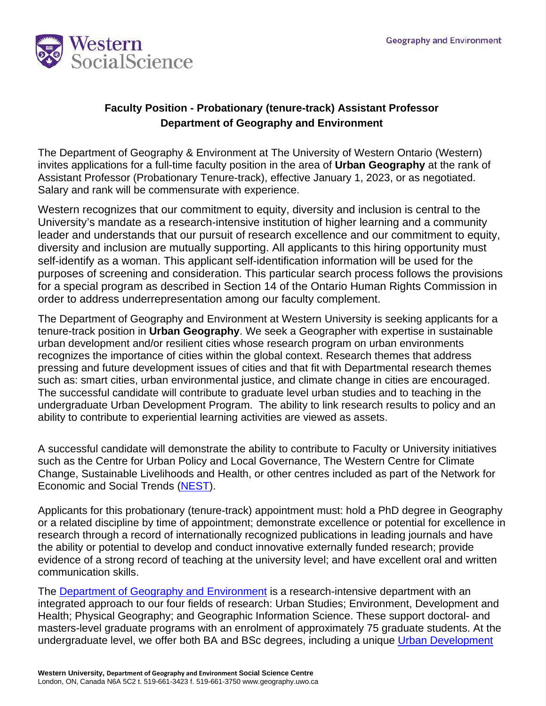

## **Faculty Position - Probationary (tenure-track) Assistant Professor Department of Geography and Environment**

The Department of Geography & Environment at The University of Western Ontario (Western) invites applications for a full-time faculty position in the area of **Urban Geography** at the rank of Assistant Professor (Probationary Tenure-track), effective January 1, 2023, or as negotiated. Salary and rank will be commensurate with experience.

Western recognizes that our commitment to equity, diversity and inclusion is central to the University's mandate as a research-intensive institution of higher learning and a community leader and understands that our pursuit of research excellence and our commitment to equity, diversity and inclusion are mutually supporting. All applicants to this hiring opportunity must self-identify as a woman. This applicant self-identification information will be used for the purposes of screening and consideration. This particular search process follows the provisions for a special program as described in Section 14 of the Ontario Human Rights Commission in order to address underrepresentation among our faculty complement.

The Department of Geography and Environment at Western University is seeking applicants for a tenure-track position in **Urban Geography**. We seek a Geographer with expertise in sustainable urban development and/or resilient cities whose research program on urban environments recognizes the importance of cities within the global context. Research themes that address pressing and future development issues of cities and that fit with Departmental research themes such as: smart cities, urban environmental justice, and climate change in cities are encouraged. The successful candidate will contribute to graduate level urban studies and to teaching in the undergraduate Urban Development Program. The ability to link research results to policy and an ability to contribute to experiential learning activities are viewed as assets.

A successful candidate will demonstrate the ability to contribute to Faculty or University initiatives such as the Centre for Urban Policy and Local Governance, The Western Centre for Climate Change, Sustainable Livelihoods and Health, or other centres included as part of the Network for Economic and Social Trends [\(NEST\)](https://nest.uwo.ca/).

Applicants for this probationary (tenure-track) appointment must: hold a PhD degree in Geography or a related discipline by time of appointment; demonstrate excellence or potential for excellence in research through a record of internationally recognized publications in leading journals and have the ability or potential to develop and conduct innovative externally funded research; provide evidence of a strong record of teaching at the university level; and have excellent oral and written communication skills.

The [Department of Geography and Environment](https://geoenvironment.uwo.ca/) is a research-intensive department with an integrated approach to our four fields of research: Urban Studies; Environment, Development and Health; Physical Geography; and Geographic Information Science. These support doctoral- and masters-level graduate programs with an enrolment of approximately 75 graduate students. At the undergraduate level, we offer both BA and BSc degrees, including a unique Urban Development